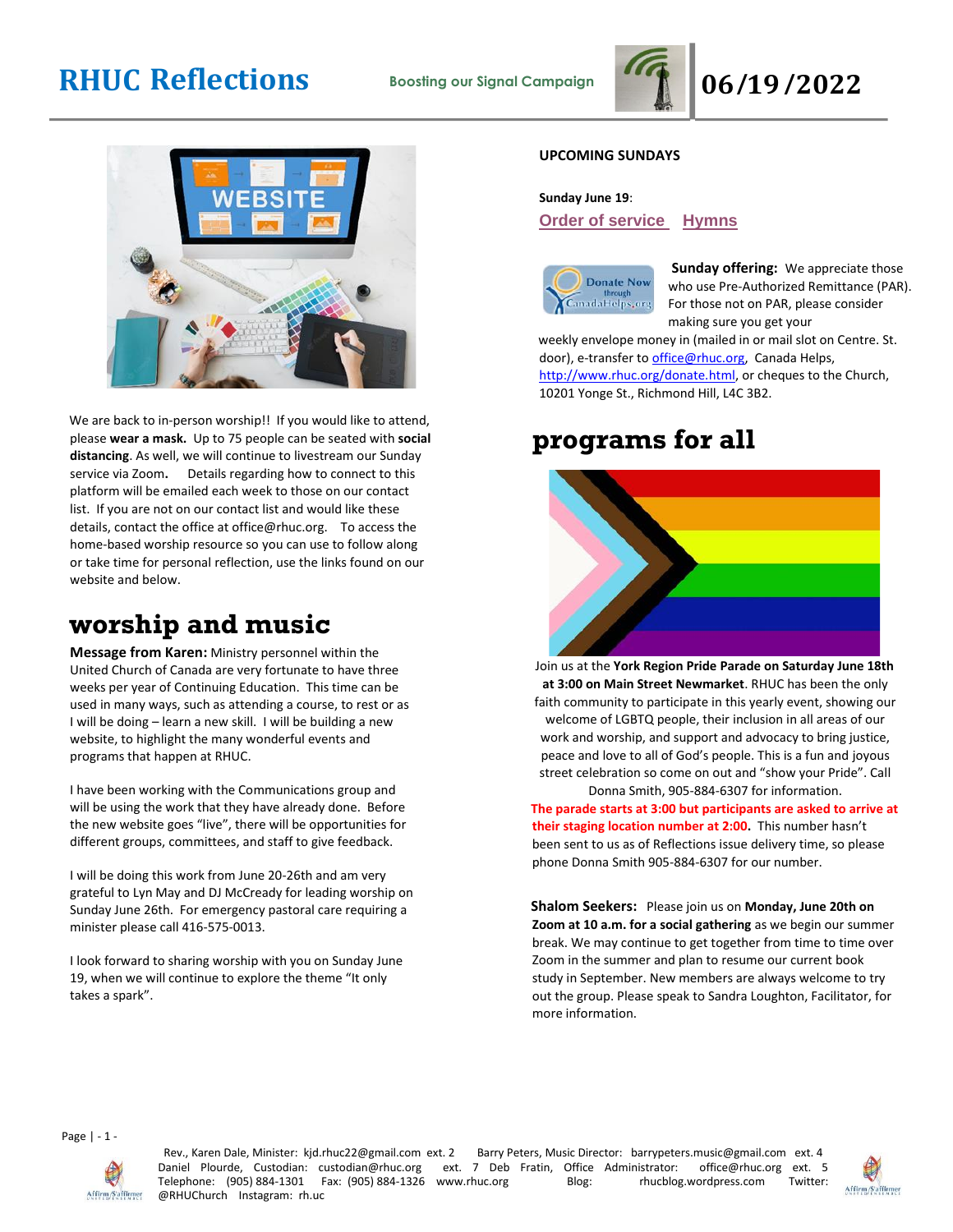# **RHUC Reflections Boosting our Signal Campaign 06/19/2022**





We are back to in-person worship!! If you would like to attend, please **wear a mask.** Up to 75 people can be seated with **social distancing**. As well, we will continue to livestream our Sunday service via Zoom**.** Details regarding how to connect to this platform will be emailed each week to those on our contact list. If you are not on our contact list and would like these details, contact the office at office@rhuc.org. To access the home-based worship resource so you can use to follow along or take time for personal reflection, use the links found on our website and below.

## **worship and music**

**Message from Karen:** Ministry personnel within the United Church of Canada are very fortunate to have three weeks per year of Continuing Education. This time can be used in many ways, such as attending a course, to rest or as I will be doing – learn a new skill. I will be building a new website, to highlight the many wonderful events and programs that happen at RHUC.

I have been working with the Communications group and will be using the work that they have already done. Before the new website goes "live", there will be opportunities for different groups, committees, and staff to give feedback.

I will be doing this work from June 20-26th and am very grateful to Lyn May and DJ McCready for leading worship on Sunday June 26th. For emergency pastoral care requiring a minister please call 416-575-0013.

I look forward to sharing worship with you on Sunday June 19, when we will continue to explore the theme "It only takes a spark".

### **UPCOMING SUNDAYS**

### **Sunday June 19**:

### **Order of [service](http://rhuc.org/June%2019%20OofS%20%20(1).pdf) [Hymns](http://rhuc.org/Hymns%20for%202022%2006%2019.pdf)**



**Sunday offering:** We appreciate those who use Pre-Authorized Remittance (PAR). For those not on PAR, please consider making sure you get your

weekly envelope money in (mailed in or mail slot on Centre. St. door), e-transfer to office@rhuc.org, Canada Helps, [http://www.rhuc.org/donate.html,](http://www.rhuc.org/donate.html) or cheques to the Church, 10201 Yonge St., Richmond Hill, L4C 3B2.

### **programs for all**



Join us at the **York Region Pride Parade on Saturday June 18th at 3:00 on Main Street Newmarket**. RHUC has been the only faith community to participate in this yearly event, showing our welcome of LGBTQ people, their inclusion in all areas of our work and worship, and support and advocacy to bring justice, peace and love to all of God's people. This is a fun and joyous street celebration so come on out and "show your Pride". Call Donna Smith, 905-884-6307 for information.

**The parade starts at 3:00 but participants are asked to arrive at their staging location number at 2:00.** This number hasn't been sent to us as of Reflections issue delivery time, so please phone Donna Smith 905-884-6307 for our number.

**Shalom Seekers:** Please join us on **Monday, June 20th on Zoom at 10 a.m. for a social gathering** as we begin our summer break. We may continue to get together from time to time over Zoom in the summer and plan to resume our current book study in September. New members are always welcome to try out the group. Please speak to Sandra Loughton, Facilitator, for more information.

Page | - 1 -



Rev., Karen Dale, Minister: kjd.rhuc22@gmail.com ext. 2 Barry Peters, Music Director: barrypeters.music@gmail.com ext. 4 Daniel Plourde, Custodian: custodian@rhuc.org ext. 7 Deb Fratin, Office Administrator: office@rhuc.org ext. 5<br>Telephone: (905)884-1301 Fax: (905)884-1326 www.rhuc.org Blog: hucblog.wordpress.com Twitter: Telephone: (905) 884-1301 Fax: (905) 884-1326 www.rhuc.org @RHUChurch Instagram: rh.uc

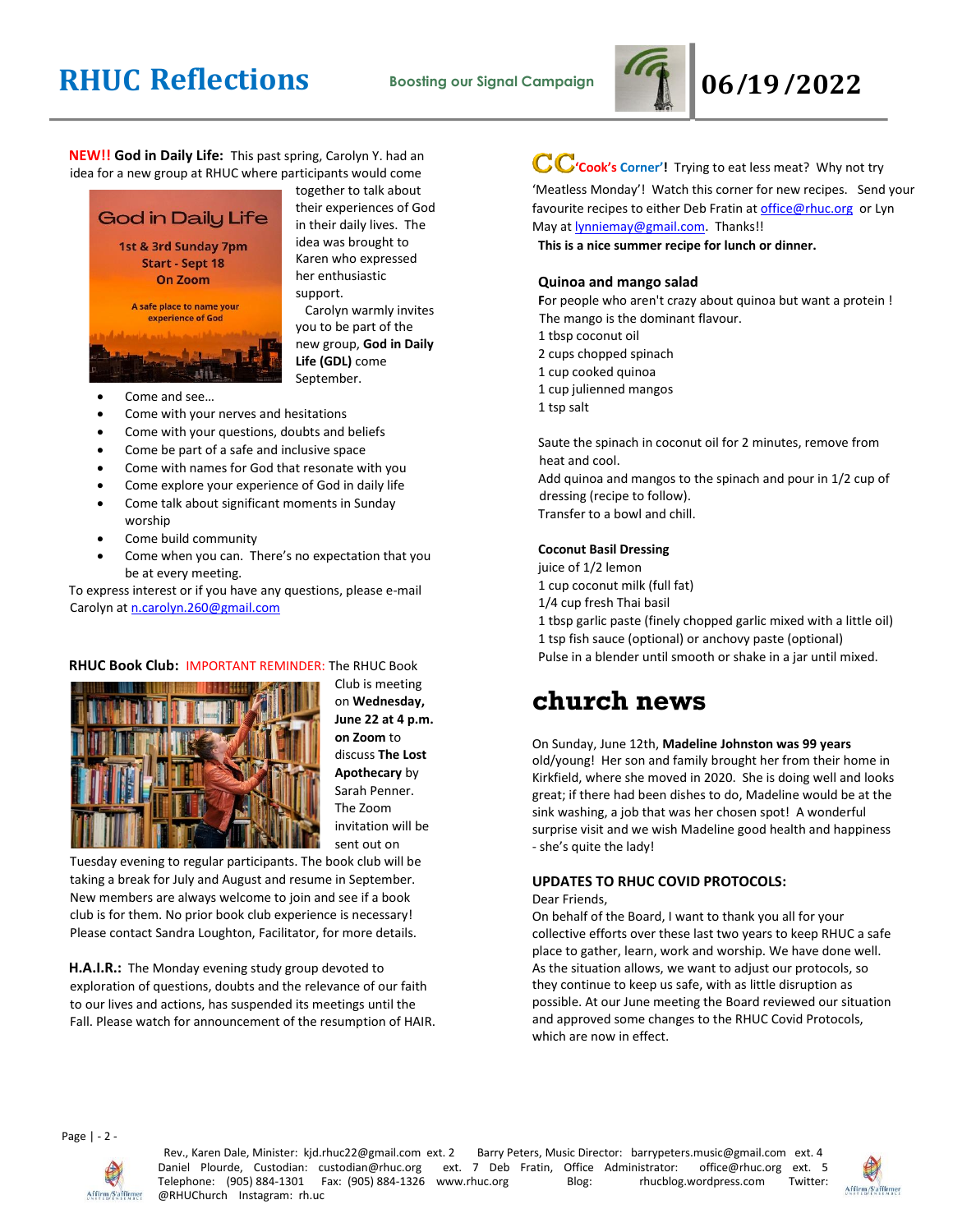# **RHUC Reflections Boosting our Signal Campaign 06/19/2022**



**NEW!! God in Daily Life:** This past spring, Carolyn Y. had an idea for a new group at RHUC where participants would come



together to talk about their experiences of God in their daily lives. The idea was brought to Karen who expressed her enthusiastic support. Carolyn warmly invites

you to be part of the new group, **God in Daily Life (GDL)** come September.

- Come and see…
- Come with your nerves and hesitations
- Come with your questions, doubts and beliefs
- Come be part of a safe and inclusive space
- Come with names for God that resonate with you
- Come explore your experience of God in daily life
- Come talk about significant moments in Sunday worship
- Come build community
- Come when you can. There's no expectation that you be at every meeting.

To express interest or if you have any questions, please e-mail Carolyn a[t n.carolyn.260@gmail.com](mailto:n.carolyn.260@gmail.com)

### **RHUC Book Club:** IMPORTANT REMINDER: The RHUC Book



Club is meeting on **Wednesday, June 22 at 4 p.m. on Zoom** to discuss **The Lost Apothecary** by Sarah Penner. The Zoom invitation will be sent out on

Tuesday evening to regular participants. The book club will be taking a break for July and August and resume in September. New members are always welcome to join and see if a book club is for them. No prior book club experience is necessary! Please contact Sandra Loughton, Facilitator, for more details.

**H.A.I.R.:** The Monday evening study group devoted to exploration of questions, doubts and the relevance of our faith to our lives and actions, has suspended its meetings until the Fall. Please watch for announcement of the resumption of HAIR.

# **CC**'Cook's Corner'! Trying to eat less meat? Why not try

'Meatless Monday'! Watch this corner for new recipes. Send your favourite recipes to either Deb Fratin at [office@rhuc.org](mailto:office@rhuc.org) or Lyn May a[t lynniemay@gmail.com.](mailto:lynniemay@gmail.com) Thanks!!

**This is a nice summer recipe for lunch or dinner.**

### **Quinoa and mango salad**

**F**or people who aren't crazy about quinoa but want a protein ! The mango is the dominant flavour.

- 1 tbsp coconut oil
- 2 cups chopped spinach
- 1 cup cooked quinoa
- 1 cup julienned mangos
- 1 tsp salt

Saute the spinach in coconut oil for 2 minutes, remove from heat and cool. Add quinoa and mangos to the spinach and pour in 1/2 cup of dressing (recipe to follow). Transfer to a bowl and chill.

### **Coconut Basil Dressing**

juice of 1/2 lemon 1 cup coconut milk (full fat) 1/4 cup fresh Thai basil 1 tbsp garlic paste (finely chopped garlic mixed with a little oil) 1 tsp fish sauce (optional) or anchovy paste (optional) Pulse in a blender until smooth or shake in a jar until mixed.

### **church news**

On Sunday, June 12th, **Madeline Johnston was 99 years** old/young! Her son and family brought her from their home in Kirkfield, where she moved in 2020. She is doing well and looks great; if there had been dishes to do, Madeline would be at the sink washing, a job that was her chosen spot! A wonderful surprise visit and we wish Madeline good health and happiness - she's quite the lady!

### **UPDATES TO RHUC COVID PROTOCOLS:**

Dear Friends,

On behalf of the Board, I want to thank you all for your collective efforts over these last two years to keep RHUC a safe place to gather, learn, work and worship. We have done well. As the situation allows, we want to adjust our protocols, so they continue to keep us safe, with as little disruption as possible. At our June meeting the Board reviewed our situation and approved some changes to the RHUC Covid Protocols, which are now in effect.

Page | - 2 -



Rev., Karen Dale, Minister: kjd.rhuc22@gmail.com ext. 2 Barry Peters, Music Director: barrypeters.music@gmail.com ext. 4 Daniel Plourde, Custodian: custodian@rhuc.org ext. 7 Deb Fratin, Office Administrator: office@rhuc.org ext. 5<br>Telephone: (905)884-1301 Fax: (905)884-1326 www.rhuc.org Blog: hucblog.wordpress.com Twitter: Telephone: (905) 884-1301 Fax: (905) 884-1326 www.rhuc.org @RHUChurch Instagram: rh.uc

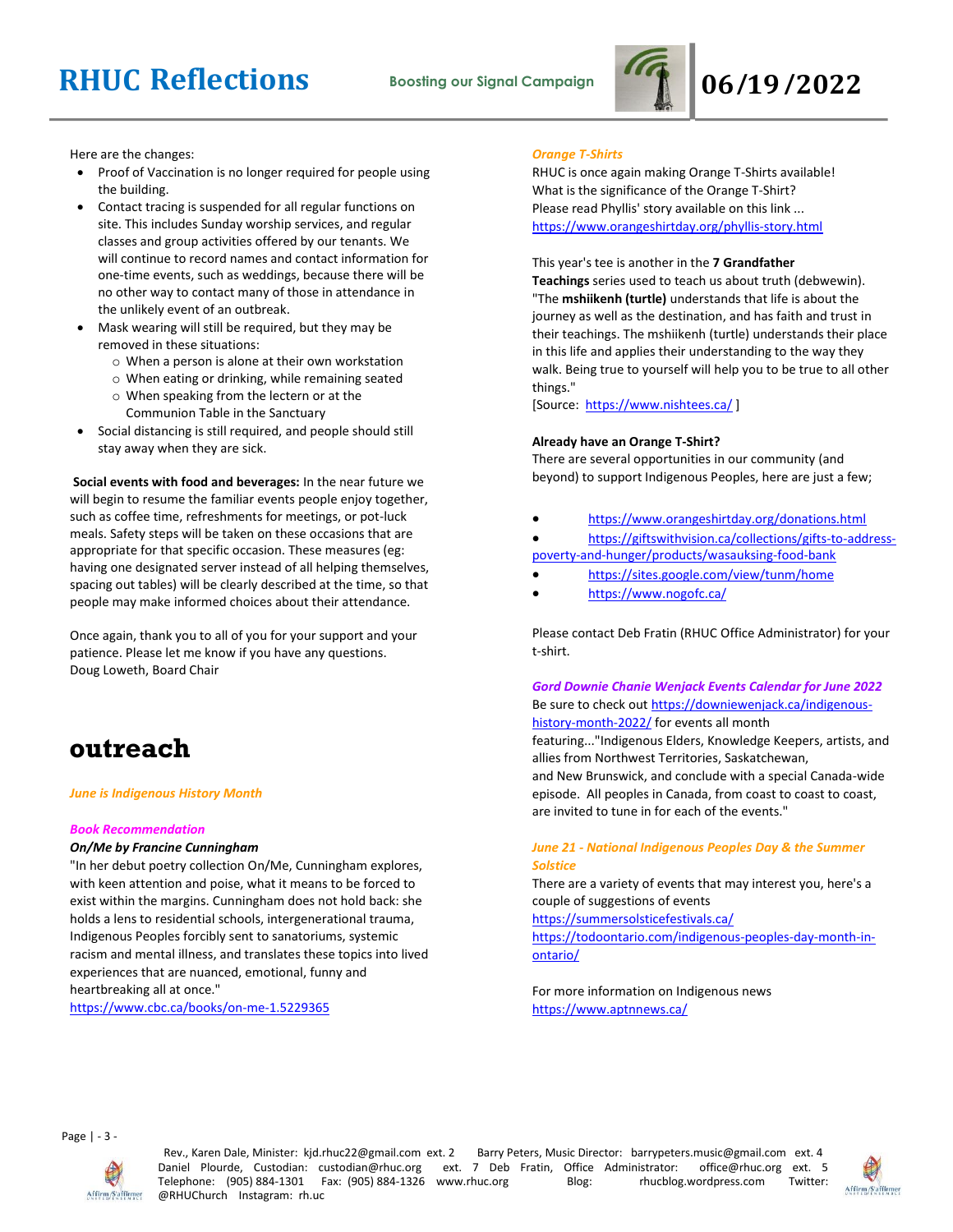# **RHUC Reflections Boosting our Signal Campaign 06/19/2022**



Here are the changes:

- Proof of Vaccination is no longer required for people using the building.
- Contact tracing is suspended for all regular functions on site. This includes Sunday worship services, and regular classes and group activities offered by our tenants. We will continue to record names and contact information for one-time events, such as weddings, because there will be no other way to contact many of those in attendance in the unlikely event of an outbreak.
- Mask wearing will still be required, but they may be removed in these situations:
	- o When a person is alone at their own workstation
	- o When eating or drinking, while remaining seated
	- o When speaking from the lectern or at the Communion Table in the Sanctuary
- Social distancing is still required, and people should still stay away when they are sick.

**Social events with food and beverages:** In the near future we will begin to resume the familiar events people enjoy together, such as coffee time, refreshments for meetings, or pot-luck meals. Safety steps will be taken on these occasions that are appropriate for that specific occasion. These measures (eg: having one designated server instead of all helping themselves, spacing out tables) will be clearly described at the time, so that people may make informed choices about their attendance.

Once again, thank you to all of you for your support and your patience. Please let me know if you have any questions. Doug Loweth, Board Chair

## **outreach**

### *June is Indigenous History Month*

### *Book Recommendation*

### *On/Me by Francine Cunningham*

"In her debut poetry collection On/Me, Cunningham explores, with keen attention and poise, what it means to be forced to exist within the margins. Cunningham does not hold back: she holds a lens to residential schools, intergenerational trauma, Indigenous Peoples forcibly sent to sanatoriums, systemic racism and mental illness, and translates these topics into lived experiences that are nuanced, emotional, funny and heartbreaking all at once."

<https://www.cbc.ca/books/on-me-1.5229365>

### *Orange T-Shirts*

RHUC is once again making Orange T-Shirts available! What is the significance of the Orange T-Shirt? Please read Phyllis' story available on this link ... <https://www.orangeshirtday.org/phyllis-story.html>

This year's tee is another in the **7 Grandfather** 

**Teachings** series used to teach us about truth (debwewin). "The **mshiikenh (turtle)** understands that life is about the journey as well as the destination, and has faith and trust in their teachings. The mshiikenh (turtle) understands their place in this life and applies their understanding to the way they walk. Being true to yourself will help you to be true to all other things."

[Source: <https://www.nishtees.ca/>]

### **Already have an Orange T-Shirt?**

There are several opportunities in our community (and beyond) to support Indigenous Peoples, here are just a few;

- <https://www.orangeshirtday.org/donations.html>
- [https://giftswithvision.ca/collections/gifts-to-address](https://giftswithvision.ca/collections/gifts-to-address-poverty-and-hunger/products/wasauksing-food-bank)[poverty-and-hunger/products/wasauksing-food-bank](https://giftswithvision.ca/collections/gifts-to-address-poverty-and-hunger/products/wasauksing-food-bank)
- <https://sites.google.com/view/tunm/home>
- <https://www.nogofc.ca/>

Please contact Deb Fratin (RHUC Office Administrator) for your t-shirt.

*Gord Downie Chanie Wenjack Events Calendar for June 2022* Be sure to check out [https://downiewenjack.ca/indigenous](https://downiewenjack.ca/indigenous-history-month-2022/)[history-month-2022/](https://downiewenjack.ca/indigenous-history-month-2022/) for events all month featuring..."Indigenous Elders, Knowledge Keepers, artists, and

allies from Northwest Territories, Saskatchewan, and New Brunswick, and conclude with a special Canada-wide episode. All peoples in Canada, from coast to coast to coast, are invited to tune in for each of the events."

### *June 21 - National Indigenous Peoples Day & the Summer Solstice*

There are a variety of events that may interest you, here's a couple of suggestions of events

<https://summersolsticefestivals.ca/>

[https://todoontario.com/indigenous-peoples-day-month-in](https://todoontario.com/indigenous-peoples-day-month-in-ontario/)[ontario/](https://todoontario.com/indigenous-peoples-day-month-in-ontario/)

For more information on Indigenous news <https://www.aptnnews.ca/>

Page | - 3 -



Rev., Karen Dale, Minister: kjd.rhuc22@gmail.com ext. 2 Barry Peters, Music Director: barrypeters.music@gmail.com ext. 4 Daniel Plourde, Custodian: custodian@rhuc.org ext. 7 Deb Fratin, Office Administrator: office@rhuc.org ext. 5<br>Telephone: (905) 884-1301 Fax: (905) 884-1326 www.rhuc.org Blog: hucblog.wordpress.com Twitter: Telephone: (905) 884-1301 Fax: (905) 884-1326 www.rhuc.org Blog: rhucblog.wordpress.com @RHUChurch Instagram: rh.uc